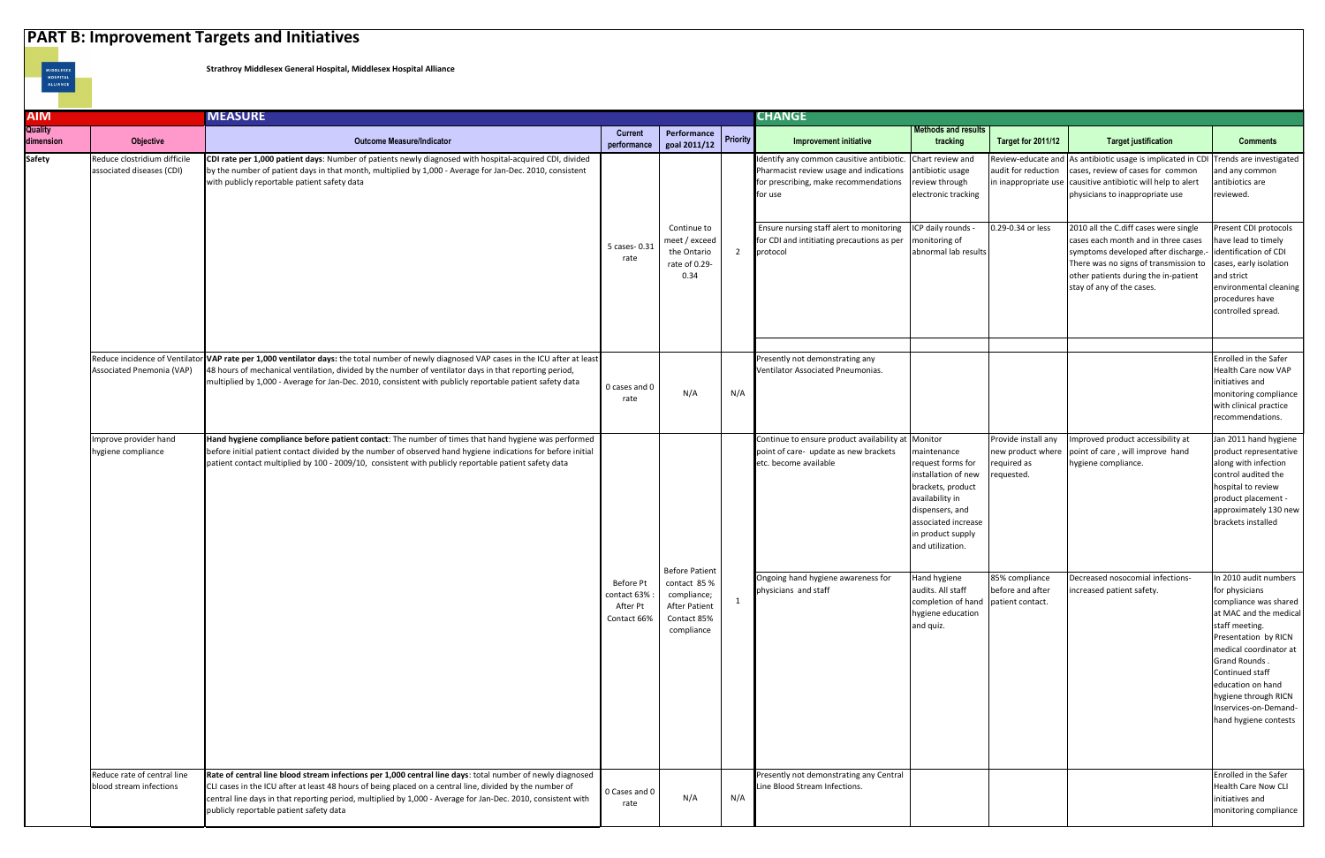## **PART B: Improvement Targets and Initiatives**



| <b>AIM</b>     |                                                           | <b>MEASURE</b>                                                                                                                                                                                                                                                                                                                                                                   |                                                       |                                                                                  |                 | <b>CHANGE</b>                                                                                                                            |                                                                                                                                                                                    |                                                  |                                                                                                                                                                                                                                    |                                                                                                                                                                                                                                                                                                   |
|----------------|-----------------------------------------------------------|----------------------------------------------------------------------------------------------------------------------------------------------------------------------------------------------------------------------------------------------------------------------------------------------------------------------------------------------------------------------------------|-------------------------------------------------------|----------------------------------------------------------------------------------|-----------------|------------------------------------------------------------------------------------------------------------------------------------------|------------------------------------------------------------------------------------------------------------------------------------------------------------------------------------|--------------------------------------------------|------------------------------------------------------------------------------------------------------------------------------------------------------------------------------------------------------------------------------------|---------------------------------------------------------------------------------------------------------------------------------------------------------------------------------------------------------------------------------------------------------------------------------------------------|
| <b>Quality</b> |                                                           |                                                                                                                                                                                                                                                                                                                                                                                  | <b>Current</b>                                        | Performance                                                                      |                 |                                                                                                                                          | <b>Methods and results</b>                                                                                                                                                         |                                                  |                                                                                                                                                                                                                                    |                                                                                                                                                                                                                                                                                                   |
| dimension      | Objective                                                 | <b>Outcome Measure/Indicator</b>                                                                                                                                                                                                                                                                                                                                                 | performance                                           | goal 2011/12                                                                     | <b>Priority</b> | Improvement initiative                                                                                                                   | tracking                                                                                                                                                                           | <b>Target for 2011/12</b>                        | <b>Target justification</b>                                                                                                                                                                                                        | <b>Comments</b>                                                                                                                                                                                                                                                                                   |
| <b>Safety</b>  | Reduce clostridium difficile<br>associated diseases (CDI) | CDI rate per 1,000 patient days: Number of patients newly diagnosed with hospital-acquired CDI, divided<br>by the number of patient days in that month, multiplied by 1,000 - Average for Jan-Dec. 2010, consistent<br>with publicly reportable patient safety data                                                                                                              |                                                       |                                                                                  |                 | Identify any common causitive antibiotic.<br>Pharmacist review usage and indications<br>for prescribing, make recommendations<br>for use | Chart review and<br>antibiotic usage<br>review through<br>electronic tracking                                                                                                      | audit for reduction                              | Review-educate and As antibiotic usage is implicated in CDI<br>cases, review of cases for common<br>in inappropriate use causitive antibiotic will help to alert<br>physicians to inappropriate use                                | Trends are investigated<br>and any common<br>antibiotics are<br>reviewed.                                                                                                                                                                                                                         |
|                |                                                           |                                                                                                                                                                                                                                                                                                                                                                                  | 5 cases-0.31<br>rate                                  | Continue to<br>meet / exceed<br>the Ontario<br>rate of 0.29-<br>0.34             | $\overline{2}$  | Ensure nursing staff alert to monitoring<br>for CDI and intitiating precautions as per<br>protocol                                       | ICP daily rounds -<br>monitoring of<br>abnormal lab results                                                                                                                        | 0.29-0.34 or less                                | 2010 all the C.diff cases were single<br>cases each month and in three cases<br>symptoms developed after discharge.-<br>There was no signs of transmission to<br>other patients during the in-patient<br>stay of any of the cases. | Present CDI protocols<br>have lead to timely<br>identification of CDI<br>cases, early isolation<br>and strict<br>environmental cleaning<br>procedures have<br>controlled spread.                                                                                                                  |
|                | Reduce incidence of Ventilato                             | VAP rate per 1,000 ventilator days: the total number of newly diagnosed VAP cases in the ICU after at least                                                                                                                                                                                                                                                                      |                                                       |                                                                                  |                 | Presently not demonstrating any                                                                                                          |                                                                                                                                                                                    |                                                  |                                                                                                                                                                                                                                    | Enrolled in the Safer                                                                                                                                                                                                                                                                             |
|                | Associated Pnemonia (VAP)                                 | 48 hours of mechanical ventilation, divided by the number of ventilator days in that reporting period,<br>multiplied by 1,000 - Average for Jan-Dec. 2010, consistent with publicly reportable patient safety data                                                                                                                                                               | 0 cases and 0<br>rate                                 | N/A                                                                              | N/A             | Ventilator Associated Pneumonias.                                                                                                        |                                                                                                                                                                                    |                                                  |                                                                                                                                                                                                                                    | Health Care now VAP<br>initiatives and<br>monitoring compliance<br>with clinical practice<br>recommendations.                                                                                                                                                                                     |
|                | Improve provider hand<br>hygiene compliance               | Hand hygiene compliance before patient contact: The number of times that hand hygiene was performed<br>before initial patient contact divided by the number of observed hand hygiene indications for before initial<br>patient contact multiplied by 100 - 2009/10, consistent with publicly reportable patient safety data                                                      |                                                       | <b>Before Patient</b>                                                            |                 | Continue to ensure product availability at Monitor<br>point of care- update as new brackets<br>etc. become available                     | maintenance<br>request forms for<br>installation of new<br>brackets, product<br>availability in<br>dispensers, and<br>associated increase<br>in product supply<br>and utilization. | Provide install any<br>required as<br>requested. | Improved product accessibility at<br>new product where point of care, will improve hand<br>hygiene compliance.                                                                                                                     | Jan 2011 hand hygiene<br>product representative<br>along with infection<br>control audited the<br>hospital to review<br>product placement<br>approximately 130 new<br>brackets installed                                                                                                          |
|                |                                                           |                                                                                                                                                                                                                                                                                                                                                                                  | Before Pt<br>contact 63% :<br>After Pt<br>Contact 66% | contact 85 %<br>compliance;<br><b>After Patient</b><br>Contact 85%<br>compliance |                 | Ongoing hand hygiene awareness for<br>physicians and staff                                                                               | Hand hygiene<br>audits. All staff<br>completion of hand patient contact.<br>hygiene education<br>and quiz.                                                                         | 85% compliance<br>before and after               | Decreased nosocomial infections-<br>increased patient safety.                                                                                                                                                                      | In 2010 audit numbers<br>for physicians<br>compliance was shared<br>at MAC and the medical<br>staff meeting.<br>Presentation by RICN<br>medical coordinator at<br>Grand Rounds.<br>Continued staff<br>education on hand<br>hygiene through RICN<br>Inservices-on-Demand-<br>hand hygiene contests |
|                | Reduce rate of central line<br>blood stream infections    | Rate of central line blood stream infections per 1,000 central line days: total number of newly diagnosed<br>CLI cases in the ICU after at least 48 hours of being placed on a central line, divided by the number of<br>central line days in that reporting period, multiplied by 1,000 - Average for Jan-Dec. 2010, consistent with<br>publicly reportable patient safety data | 0 Cases and 0<br>rate                                 | N/A                                                                              | N/A             | Presently not demonstrating any Central<br>Line Blood Stream Infections.                                                                 |                                                                                                                                                                                    |                                                  |                                                                                                                                                                                                                                    | Enrolled in the Safer<br><b>Health Care Now CLI</b><br>initiatives and<br>monitoring compliance                                                                                                                                                                                                   |

**Strathroy Middlesex General Hospital, Middlesex Hospital Alliance**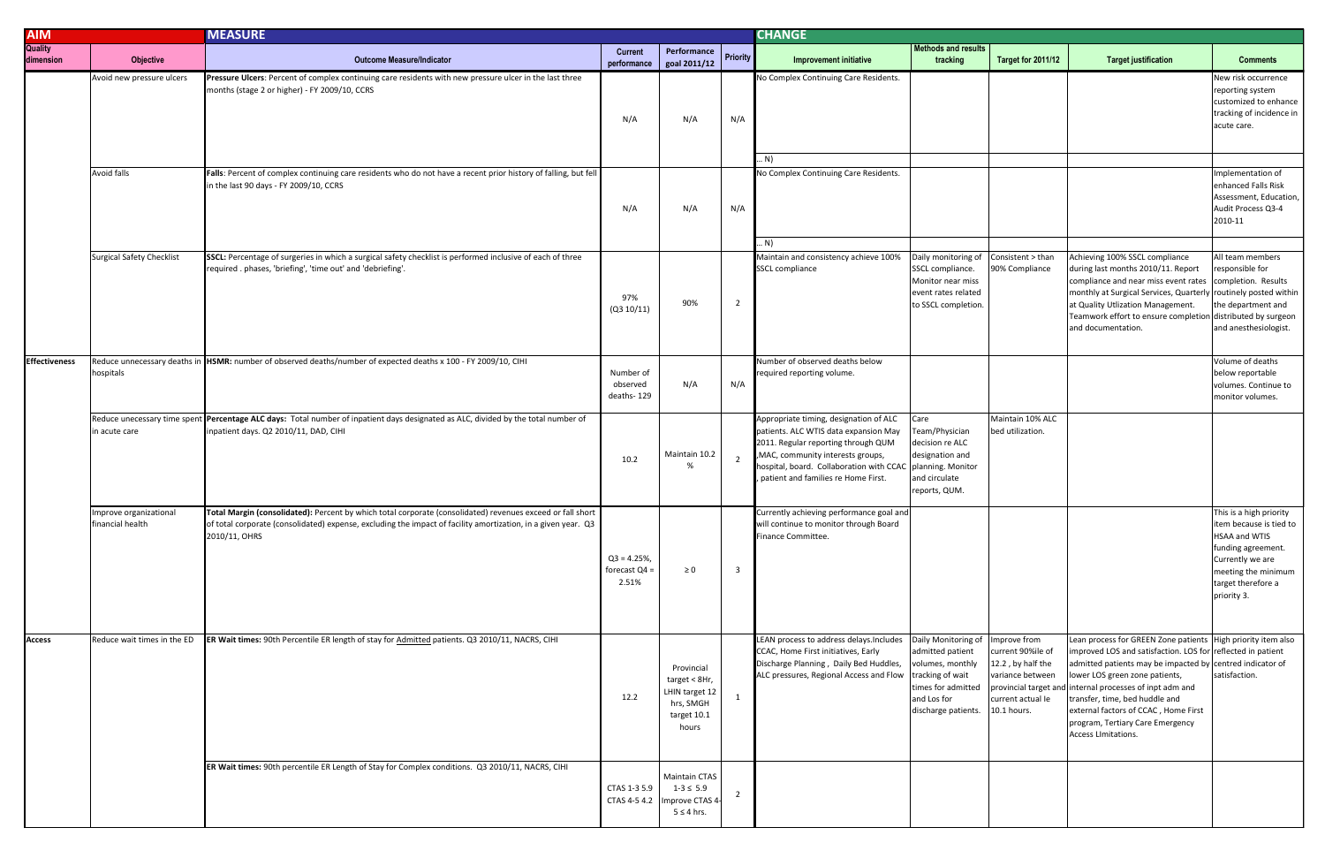| <b>AIM</b>                  |                                              | <b>MEASURE</b>                                                                                                                                                                                                                               |                                          |                                                                                      |                         | <b>CHANGE</b>                                                                                                                                                                                                                                     |                                                                                                                         |                                                                                                                |                                                                                                                                                                                                                                                                                                                                                                                                                             |                                                                                                                                                                                  |  |
|-----------------------------|----------------------------------------------|----------------------------------------------------------------------------------------------------------------------------------------------------------------------------------------------------------------------------------------------|------------------------------------------|--------------------------------------------------------------------------------------|-------------------------|---------------------------------------------------------------------------------------------------------------------------------------------------------------------------------------------------------------------------------------------------|-------------------------------------------------------------------------------------------------------------------------|----------------------------------------------------------------------------------------------------------------|-----------------------------------------------------------------------------------------------------------------------------------------------------------------------------------------------------------------------------------------------------------------------------------------------------------------------------------------------------------------------------------------------------------------------------|----------------------------------------------------------------------------------------------------------------------------------------------------------------------------------|--|
| <b>Quality</b><br>dimension | Objective                                    | <b>Outcome Measure/Indicator</b>                                                                                                                                                                                                             | <b>Current</b><br>performance            | Performance<br>goal 2011/12                                                          | <b>Priority</b>         | Improvement initiative                                                                                                                                                                                                                            | Methods and results<br>tracking                                                                                         | <b>Target for 2011/12</b>                                                                                      | <b>Target justification</b>                                                                                                                                                                                                                                                                                                                                                                                                 | <b>Comments</b>                                                                                                                                                                  |  |
|                             | Avoid new pressure ulcers                    | Pressure Ulcers: Percent of complex continuing care residents with new pressure ulcer in the last three<br>months (stage 2 or higher) - FY 2009/10, CCRS                                                                                     | N/A                                      | N/A                                                                                  | N/A                     | No Complex Continuing Care Residents.                                                                                                                                                                                                             |                                                                                                                         |                                                                                                                |                                                                                                                                                                                                                                                                                                                                                                                                                             | New risk occurrence<br>reporting system<br>customized to enhance<br>tracking of incidence in<br>acute care.                                                                      |  |
|                             |                                              |                                                                                                                                                                                                                                              |                                          |                                                                                      |                         | . N)                                                                                                                                                                                                                                              |                                                                                                                         |                                                                                                                |                                                                                                                                                                                                                                                                                                                                                                                                                             |                                                                                                                                                                                  |  |
|                             | Avoid falls                                  | Falls: Percent of complex continuing care residents who do not have a recent prior history of falling, but fell<br>in the last 90 days - FY 2009/10, CCRS                                                                                    | N/A                                      | N/A                                                                                  | N/A                     | No Complex Continuing Care Residents.                                                                                                                                                                                                             |                                                                                                                         |                                                                                                                |                                                                                                                                                                                                                                                                                                                                                                                                                             | Implementation of<br>enhanced Falls Risk<br>Assessment, Education,<br>Audit Process Q3-4<br>2010-11                                                                              |  |
|                             |                                              |                                                                                                                                                                                                                                              |                                          |                                                                                      |                         | . N)                                                                                                                                                                                                                                              |                                                                                                                         |                                                                                                                |                                                                                                                                                                                                                                                                                                                                                                                                                             |                                                                                                                                                                                  |  |
|                             | <b>Surgical Safety Checklist</b>             | SSCL: Percentage of surgeries in which a surgical safety checklist is performed inclusive of each of three<br>required.phases, 'briefing', 'time out' and 'debriefing'.                                                                      | 97%<br>(Q3 10/11)                        | 90%                                                                                  | $\overline{2}$          | Maintain and consistency achieve 100%<br><b>SSCL compliance</b>                                                                                                                                                                                   | Daily monitoring of<br>SSCL compliance.<br>Monitor near miss<br>event rates related<br>to SSCL completion.              | Consistent > than<br>90% Compliance                                                                            | Achieving 100% SSCL compliance<br>during last months 2010/11. Report<br>compliance and near miss event rates completion. Results<br>monthly at Surgical Services, Quarterly routinely posted within<br>at Quality Utlization Management.<br>Teamwork effort to ensure completion distributed by surgeon<br>and documentation.                                                                                               | All team members<br>responsible for<br>the department and<br>and anesthesiologist.                                                                                               |  |
| <b>Effectiveness</b>        | hospitals                                    | Reduce unnecessary deaths in <b>HSMR:</b> number of observed deaths/number of expected deaths x 100 - FY 2009/10, CIHI                                                                                                                       | Number of<br>observed<br>deaths-129      | N/A                                                                                  | N/A                     | Number of observed deaths below<br>required reporting volume.                                                                                                                                                                                     |                                                                                                                         |                                                                                                                |                                                                                                                                                                                                                                                                                                                                                                                                                             | Volume of deaths<br>below reportable<br>volumes. Continue to<br>monitor volumes.                                                                                                 |  |
|                             | Reduce unecessary time spen<br>in acute care | Percentage ALC days: Total number of inpatient days designated as ALC, divided by the total number of<br>inpatient days. Q2 2010/11, DAD, CIHI                                                                                               | 10.2                                     | Maintain 10.2<br>%                                                                   | $\overline{2}$          | Appropriate timing, designation of ALC<br>patients. ALC WTIS data expansion May<br>2011. Regular reporting through QUM<br>, MAC, community interests groups,<br>hospital, board. Collaboration with CCAC<br>, patient and families re Home First. | Care<br>Team/Physician<br>decision re ALC<br>designation and<br>planning. Monitor<br>and circulate<br>reports, QUM.     | Maintain 10% ALC<br>bed utilization.                                                                           |                                                                                                                                                                                                                                                                                                                                                                                                                             |                                                                                                                                                                                  |  |
|                             | Improve organizational<br>financial health   | Total Margin (consolidated): Percent by which total corporate (consolidated) revenues exceed or fall short<br>of total corporate (consolidated) expense, excluding the impact of facility amortization, in a given year. Q3<br>2010/11, OHRS | $Q3 = 4.25%$<br>forecast $Q4 =$<br>2.51% | $\geq 0$                                                                             | $\overline{\mathbf{3}}$ | Currently achieving performance goal and<br>will continue to monitor through Board<br>Finance Committee.                                                                                                                                          |                                                                                                                         |                                                                                                                |                                                                                                                                                                                                                                                                                                                                                                                                                             | This is a high priority<br>item because is tied to<br><b>HSAA and WTIS</b><br>funding agreement.<br>Currently we are<br>meeting the minimum<br>target therefore a<br>priority 3. |  |
| Access                      | Reduce wait times in the ED                  | ER Wait times: 90th Percentile ER length of stay for Admitted patients. Q3 2010/11, NACRS, CIHI                                                                                                                                              | 12.2                                     | Provincial<br>target $<$ 8Hr,<br>LHIN target 12<br>hrs, SMGH<br>target 10.1<br>hours | -1                      | LEAN process to address delays. Includes<br>CCAC, Home First initiatives, Early<br>Discharge Planning, Daily Bed Huddles,<br>ALC pressures, Regional Access and Flow tracking of wait                                                             | Daily Monitoring of<br>admitted patient<br>volumes, monthly<br>times for admitted<br>and Los for<br>discharge patients. | Improve from<br>current 90%ile of<br>12.2, by half the<br>variance between<br>current actual le<br>10.1 hours. | Lean process for GREEN Zone patients High priority item also<br>improved LOS and satisfaction. LOS for reflected in patient<br>admitted patients may be impacted by centred indicator of<br>lower LOS green zone patients,<br>provincial target and internal processes of inpt adm and<br>transfer, time, bed huddle and<br>external factors of CCAC, Home First<br>program, Tertiary Care Emergency<br>Access LImitations. | satisfaction.                                                                                                                                                                    |  |
|                             |                                              | ER Wait times: 90th percentile ER Length of Stay for Complex conditions. Q3 2010/11, NACRS, CIHI                                                                                                                                             | CTAS 1-3 5.9<br>CTAS 4-5 4.2             | <b>Maintain CTAS</b><br>$1 - 3 \le 5.9$<br>Improve CTAS 4-<br>$5 \leq 4$ hrs.        | $\overline{2}$          |                                                                                                                                                                                                                                                   |                                                                                                                         |                                                                                                                |                                                                                                                                                                                                                                                                                                                                                                                                                             |                                                                                                                                                                                  |  |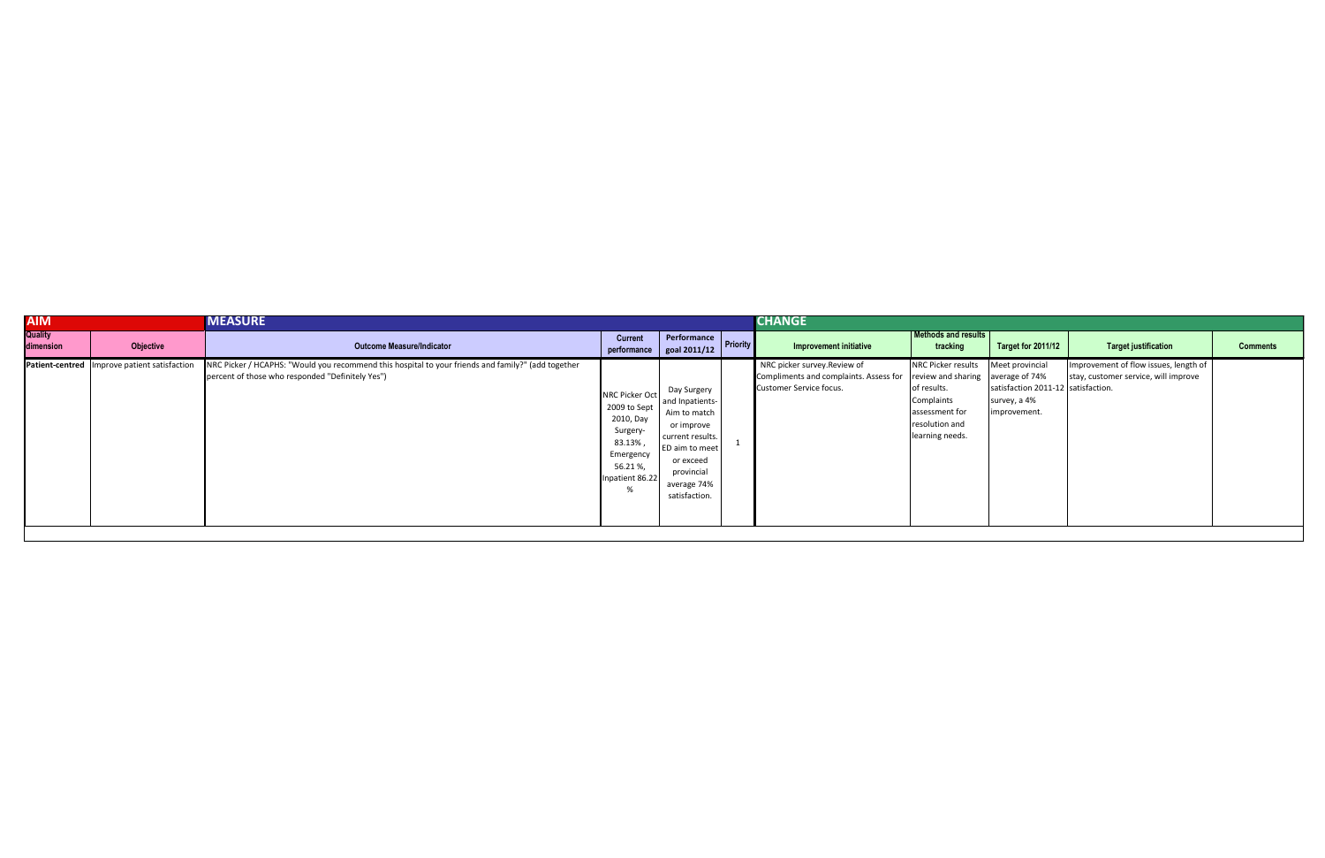| <b>AIM</b>                  |                                              | <b>MEASURE</b>                                                                                                                                         |                                                                                                               |                                                                                                                                                               | <b>CHANGE</b>                                                                                           |                                                                                                                              |                                                                                                         |                                                                               |                 |
|-----------------------------|----------------------------------------------|--------------------------------------------------------------------------------------------------------------------------------------------------------|---------------------------------------------------------------------------------------------------------------|---------------------------------------------------------------------------------------------------------------------------------------------------------------|---------------------------------------------------------------------------------------------------------|------------------------------------------------------------------------------------------------------------------------------|---------------------------------------------------------------------------------------------------------|-------------------------------------------------------------------------------|-----------------|
| <b>Quality</b><br>dimension | Objective                                    | <b>Outcome Measure/Indicator</b>                                                                                                                       | <b>Current</b><br>performance                                                                                 | Performance Priority<br>  goal 2011/12                                                                                                                        | Improvement initiative                                                                                  | Methods and results<br>tracking                                                                                              | Target for 2011/12                                                                                      | <b>Target justification</b>                                                   | <b>Comments</b> |
|                             | Patient-centred Improve patient satisfaction | NRC Picker / HCAPHS: "Would you recommend this hospital to your friends and family?" (add together<br>percent of those who responded "Definitely Yes") | NRC Picker Oct<br>2009 to Sept<br>2010, Day<br>Surgery-<br>83.13%,<br>Emergency<br>56.21%,<br>Inpatient 86.22 | Day Surgery<br>and Inpatients-<br>Aim to match<br>or improve<br>current results.<br>ED aim to meet<br>or exceed<br>provincial<br>average 74%<br>satisfaction. | NRC picker survey.Review of<br>Compliments and complaints. Assess for<br><b>Customer Service focus.</b> | NRC Picker results<br>review and sharing<br>of results.<br>Complaints<br>assessment for<br>resolution and<br>learning needs. | Meet provincial<br>average of 74%<br>satisfaction 2011-12 satisfaction.<br>survey, a 4%<br>improvement. | Improvement of flow issues, length of<br>stay, customer service, will improve |                 |
|                             |                                              |                                                                                                                                                        |                                                                                                               |                                                                                                                                                               |                                                                                                         |                                                                                                                              |                                                                                                         |                                                                               |                 |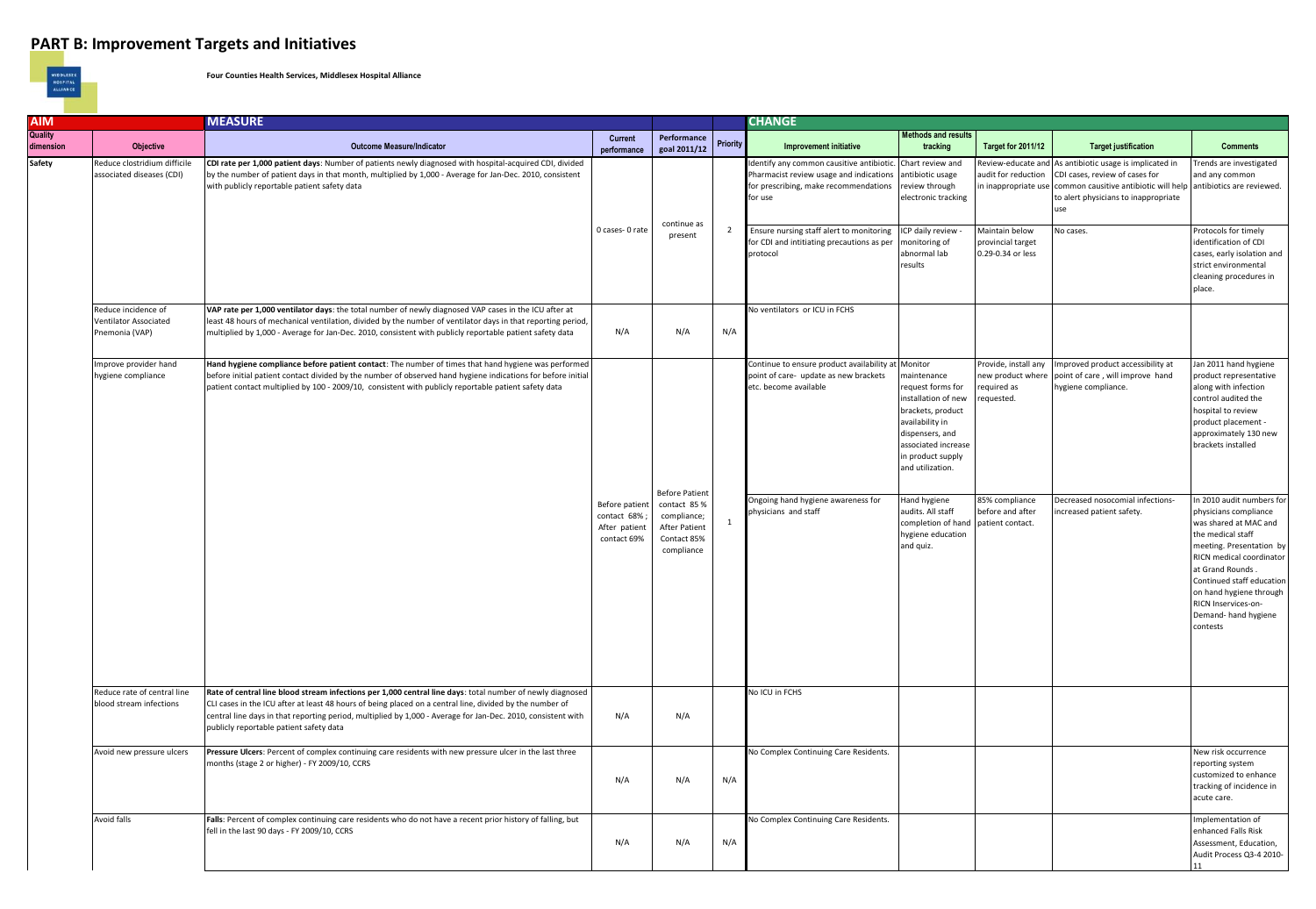## **PART B: Improvement Targets and Initiatives**



**Four Counties Health Services, Middlesex Hospital Alliance** 

| AIM                  |                                                                | <b>MEASURE</b>                                                                                                                                                                                                                                                                                                                                                                   |                                                               |                                                                                                           |                 |                                                                                                                                       |                                                                                                                                                                                              |                                                                     |                                                                                                                                                                                                               |                                                                                                                                                                                                                                                                                                 |
|----------------------|----------------------------------------------------------------|----------------------------------------------------------------------------------------------------------------------------------------------------------------------------------------------------------------------------------------------------------------------------------------------------------------------------------------------------------------------------------|---------------------------------------------------------------|-----------------------------------------------------------------------------------------------------------|-----------------|---------------------------------------------------------------------------------------------------------------------------------------|----------------------------------------------------------------------------------------------------------------------------------------------------------------------------------------------|---------------------------------------------------------------------|---------------------------------------------------------------------------------------------------------------------------------------------------------------------------------------------------------------|-------------------------------------------------------------------------------------------------------------------------------------------------------------------------------------------------------------------------------------------------------------------------------------------------|
| Quality<br>dimension | Objective                                                      | <b>Outcome Measure/Indicator</b>                                                                                                                                                                                                                                                                                                                                                 | Current<br>performance                                        | Performance<br>goal 2011/12                                                                               | <b>Priority</b> | Improvement initiative                                                                                                                | <b>Methods and results</b><br>tracking                                                                                                                                                       | <b>Target for 2011/12</b>                                           | <b>Target justification</b>                                                                                                                                                                                   | <b>Comments</b>                                                                                                                                                                                                                                                                                 |
| Safety               | Reduce clostridium difficile<br>associated diseases (CDI)      | CDI rate per 1,000 patient days: Number of patients newly diagnosed with hospital-acquired CDI, divided<br>by the number of patient days in that month, multiplied by 1,000 - Average for Jan-Dec. 2010, consistent<br>with publicly reportable patient safety data                                                                                                              |                                                               |                                                                                                           |                 | dentify any common causitive antibioti<br>Pharmacist review usage and indications<br>for prescribing, make recommendations<br>for use | Chart review and<br>antibiotic usage<br>review through<br>electronic tracking                                                                                                                | Review-educate and<br>audit for reduction                           | As antibiotic usage is implicated in<br>CDI cases, review of cases for<br>in inappropriate use common causitive antibiotic will help antibiotics are reviewed.<br>to alert physicians to inappropriate<br>use | rends are investigated<br>and any common                                                                                                                                                                                                                                                        |
|                      |                                                                |                                                                                                                                                                                                                                                                                                                                                                                  | 0 cases- 0 rate                                               | continue as<br>present                                                                                    | $\overline{2}$  | Ensure nursing staff alert to monitoring<br>for CDI and intitiating precautions as per<br>protocol                                    | ICP daily review<br>nonitoring of<br>abnormal lab<br>results                                                                                                                                 | Maintain below<br>provincial target<br>0.29-0.34 or less            | No cases.                                                                                                                                                                                                     | Protocols for timely<br>identification of CDI<br>cases, early isolation and<br>strict environmental<br>cleaning procedures in<br>place.                                                                                                                                                         |
|                      | Reduce incidence of<br>Ventilator Associated<br>Pnemonia (VAP) | VAP rate per 1,000 ventilator days: the total number of newly diagnosed VAP cases in the ICU after at<br>least 48 hours of mechanical ventilation, divided by the number of ventilator days in that reporting period,<br>multiplied by 1,000 - Average for Jan-Dec. 2010, consistent with publicly reportable patient safety data                                                | N/A                                                           | N/A                                                                                                       | N/A             | No ventilators or ICU in FCHS                                                                                                         |                                                                                                                                                                                              |                                                                     |                                                                                                                                                                                                               |                                                                                                                                                                                                                                                                                                 |
|                      | mprove provider hand<br>hygiene compliance                     | Hand hygiene compliance before patient contact: The number of times that hand hygiene was performed<br>before initial patient contact divided by the number of observed hand hygiene indications for before initial<br>patient contact multiplied by 100 - 2009/10, consistent with publicly reportable patient safety data                                                      |                                                               |                                                                                                           |                 | Continue to ensure product availability at<br>point of care- update as new brackets<br>etc. become available                          | Monitor<br>maintenance<br>request forms for<br>installation of new<br>brackets, product<br>availability in<br>dispensers, and<br>associated increase<br>n product supply<br>and utilization. | Provide, install any<br>ew product where<br>equired as<br>equested. | Improved product accessibility at<br>point of care, will improve hand<br>hygiene compliance.                                                                                                                  | Jan 2011 hand hygiene<br>product representative<br>along with infection<br>control audited the<br>hospital to review<br>product placement -<br>approximately 130 new<br>brackets installed                                                                                                      |
|                      |                                                                |                                                                                                                                                                                                                                                                                                                                                                                  | Before patient<br>contact 68%<br>After patient<br>contact 69% | <b>Before Patient</b><br>contact 85 %<br>compliance;<br><b>After Patient</b><br>Contact 85%<br>compliance | $\overline{1}$  | Ongoing hand hygiene awareness for<br>physicians and staff                                                                            | Hand hygiene<br>audits. All staff<br>completion of hand<br>hygiene education<br>and quiz.                                                                                                    | 85% compliance<br>before and after<br>patient contact.              | Decreased nosocomial infections-<br>ncreased patient safety.                                                                                                                                                  | In 2010 audit numbers for<br>physicians compliance<br>was shared at MAC and<br>the medical staff<br>meeting. Presentation by<br>RICN medical coordinator<br>at Grand Rounds.<br>Continued staff education<br>on hand hygiene through<br>RICN Inservices-on-<br>Demand- hand hygiene<br>contests |
|                      | Reduce rate of central line<br>blood stream infections         | Rate of central line blood stream infections per 1,000 central line days: total number of newly diagnosed<br>CLI cases in the ICU after at least 48 hours of being placed on a central line, divided by the number of<br>central line days in that reporting period, multiplied by 1,000 - Average for Jan-Dec. 2010, consistent with<br>publicly reportable patient safety data | N/A                                                           | N/A                                                                                                       |                 | No ICU in FCHS                                                                                                                        |                                                                                                                                                                                              |                                                                     |                                                                                                                                                                                                               |                                                                                                                                                                                                                                                                                                 |
|                      | Avoid new pressure ulcers                                      | Pressure Ulcers: Percent of complex continuing care residents with new pressure ulcer in the last three<br>months (stage 2 or higher) - FY 2009/10, CCRS                                                                                                                                                                                                                         | N/A                                                           | N/A                                                                                                       | N/A             | No Complex Continuing Care Residents.                                                                                                 |                                                                                                                                                                                              |                                                                     |                                                                                                                                                                                                               | New risk occurrence<br>reporting system<br>customized to enhance<br>tracking of incidence in<br>acute care.                                                                                                                                                                                     |
|                      | Avoid falls                                                    | Falls: Percent of complex continuing care residents who do not have a recent prior history of falling, but<br>fell in the last 90 days - FY 2009/10, CCRS                                                                                                                                                                                                                        | N/A                                                           | N/A                                                                                                       | N/A             | No Complex Continuing Care Residents.                                                                                                 |                                                                                                                                                                                              |                                                                     |                                                                                                                                                                                                               | Implementation of<br>enhanced Falls Risk<br>Assessment, Education,<br>Audit Process Q3-4 2010-<br>11                                                                                                                                                                                            |